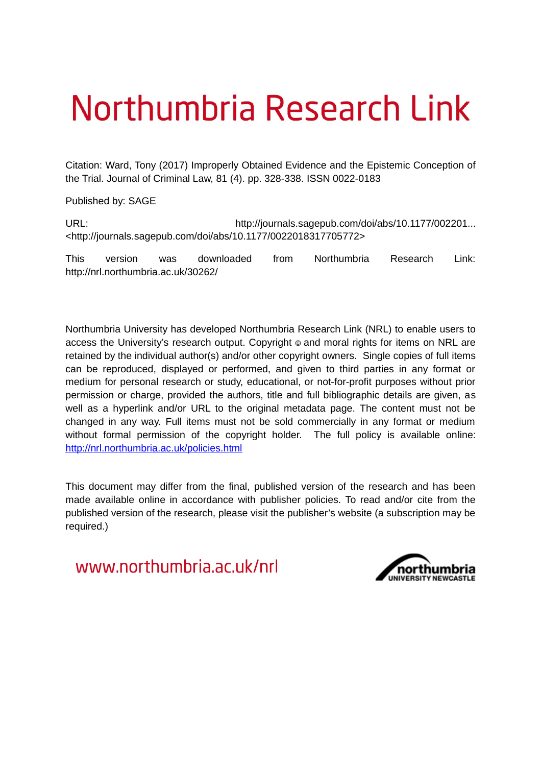# Northumbria Research Link

Citation: Ward, Tony (2017) Improperly Obtained Evidence and the Epistemic Conception of the Trial. Journal of Criminal Law, 81 (4). pp. 328-338. ISSN 0022-0183

Published by: SAGE

URL: URL: http://journals.sagepub.com/doi/abs/10.1177/002201... <http://journals.sagepub.com/doi/abs/10.1177/0022018317705772>

This version was downloaded from Northumbria Research Link: http://nrl.northumbria.ac.uk/30262/

Northumbria University has developed Northumbria Research Link (NRL) to enable users to access the University's research output. Copyright  $\circ$  and moral rights for items on NRL are retained by the individual author(s) and/or other copyright owners. Single copies of full items can be reproduced, displayed or performed, and given to third parties in any format or medium for personal research or study, educational, or not-for-profit purposes without prior permission or charge, provided the authors, title and full bibliographic details are given, as well as a hyperlink and/or URL to the original metadata page. The content must not be changed in any way. Full items must not be sold commercially in any format or medium without formal permission of the copyright holder. The full policy is available online: <http://nrl.northumbria.ac.uk/policies.html>

This document may differ from the final, published version of the research and has been made available online in accordance with publisher policies. To read and/or cite from the published version of the research, please visit the publisher's website (a subscription may be required.)

www.northumbria.ac.uk/nrl

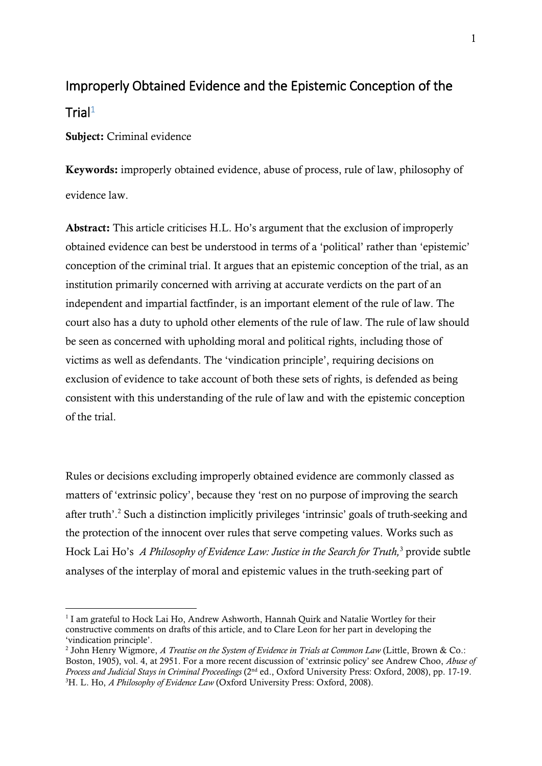## Improperly Obtained Evidence and the Epistemic Conception of the Trial $1$

**Subject:** Criminal evidence

1

**Keywords:** improperly obtained evidence, abuse of process, rule of law, philosophy of evidence law.

**Abstract:** This article criticises H.L. Ho's argument that the exclusion of improperly obtained evidence can best be understood in terms of a 'political' rather than 'epistemic' conception of the criminal trial. It argues that an epistemic conception of the trial, as an institution primarily concerned with arriving at accurate verdicts on the part of an independent and impartial factfinder, is an important element of the rule of law. The court also has a duty to uphold other elements of the rule of law. The rule of law should be seen as concerned with upholding moral and political rights, including those of victims as well as defendants. The 'vindication principle', requiring decisions on exclusion of evidence to take account of both these sets of rights, is defended as being consistent with this understanding of the rule of law and with the epistemic conception of the trial.

Rules or decisions excluding improperly obtained evidence are commonly classed as matters of 'extrinsic policy', because they 'rest on no purpose of improving the search after truth'. <sup>2</sup> Such a distinction implicitly privileges 'intrinsic' goals of truth-seeking and the protection of the innocent over rules that serve competing values. Works such as Hock Lai Ho's *A Philosophy of Evidence Law: Justice in the Search for Truth,*<sup>3</sup> provide subtle analyses of the interplay of moral and epistemic values in the truth-seeking part of

<sup>&</sup>lt;sup>1</sup> I am grateful to Hock Lai Ho, Andrew Ashworth, Hannah Quirk and Natalie Wortley for their constructive comments on drafts of this article, and to Clare Leon for her part in developing the 'vindication principle'.

<sup>2</sup> John Henry Wigmore, *A Treatise on the System of Evidence in Trials at Common Law* (Little, Brown & Co.: Boston, 1905), vol. 4, at 2951. For a more recent discussion of 'extrinsic policy' see Andrew Choo, *Abuse of Process and Judicial Stays in Criminal Proceedings* (2nd ed., Oxford University Press: Oxford, 2008), pp. 17-19. 3H. L. Ho, *A Philosophy of Evidence Law* (Oxford University Press: Oxford, 2008).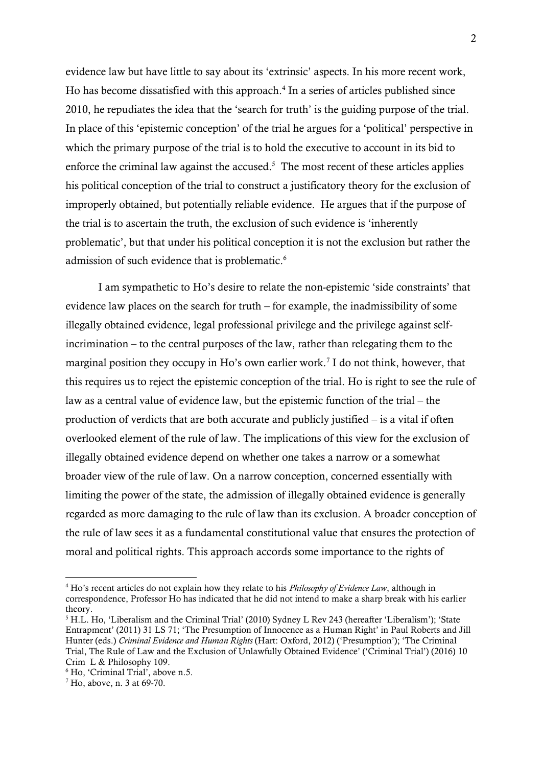evidence law but have little to say about its 'extrinsic' aspects. In his more recent work, Ho has become dissatisfied with this approach.<sup>4</sup> In a series of articles published since 2010, he repudiates the idea that the 'search for truth' is the guiding purpose of the trial. In place of this 'epistemic conception' of the trial he argues for a 'political' perspective in which the primary purpose of the trial is to hold the executive to account in its bid to enforce the criminal law against the accused.<sup>5</sup> The most recent of these articles applies his political conception of the trial to construct a justificatory theory for the exclusion of improperly obtained, but potentially reliable evidence. He argues that if the purpose of the trial is to ascertain the truth, the exclusion of such evidence is 'inherently problematic', but that under his political conception it is not the exclusion but rather the admission of such evidence that is problematic.<sup>6</sup>

I am sympathetic to Ho's desire to relate the non-epistemic 'side constraints' that evidence law places on the search for truth – for example, the inadmissibility of some illegally obtained evidence, legal professional privilege and the privilege against selfincrimination – to the central purposes of the law, rather than relegating them to the marginal position they occupy in Ho's own earlier work.<sup>7</sup> I do not think, however, that this requires us to reject the epistemic conception of the trial. Ho is right to see the rule of law as a central value of evidence law, but the epistemic function of the trial – the production of verdicts that are both accurate and publicly justified – is a vital if often overlooked element of the rule of law. The implications of this view for the exclusion of illegally obtained evidence depend on whether one takes a narrow or a somewhat broader view of the rule of law. On a narrow conception, concerned essentially with limiting the power of the state, the admission of illegally obtained evidence is generally regarded as more damaging to the rule of law than its exclusion. A broader conception of the rule of law sees it as a fundamental constitutional value that ensures the protection of moral and political rights. This approach accords some importance to the rights of

<sup>4</sup> Ho's recent articles do not explain how they relate to his *Philosophy of Evidence Law*, although in correspondence, Professor Ho has indicated that he did not intend to make a sharp break with his earlier theory.

<sup>5</sup> H.L. Ho, 'Liberalism and the Criminal Trial' (2010) Sydney L Rev 243 (hereafter 'Liberalism'); 'State Entrapment' (2011) 31 LS 71; 'The Presumption of Innocence as a Human Right' in Paul Roberts and Jill Hunter (eds.) *Criminal Evidence and Human Rights* (Hart: Oxford, 2012) ('Presumption'); 'The Criminal Trial, The Rule of Law and the Exclusion of Unlawfully Obtained Evidence' ('Criminal Trial') (2016) 10 Crim L & Philosophy 109.

<sup>6</sup> Ho, 'Criminal Trial', above n.5.

<sup>7</sup> Ho, above, n. 3 at 69-70.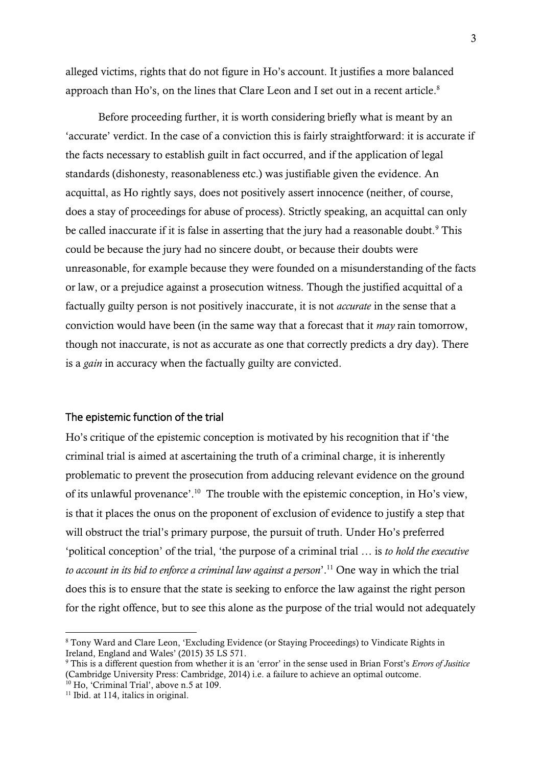alleged victims, rights that do not figure in Ho's account. It justifies a more balanced approach than Ho's, on the lines that Clare Leon and I set out in a recent article. $^8$ 

Before proceeding further, it is worth considering briefly what is meant by an 'accurate' verdict. In the case of a conviction this is fairly straightforward: it is accurate if the facts necessary to establish guilt in fact occurred, and if the application of legal standards (dishonesty, reasonableness etc.) was justifiable given the evidence. An acquittal, as Ho rightly says, does not positively assert innocence (neither, of course, does a stay of proceedings for abuse of process). Strictly speaking, an acquittal can only be called inaccurate if it is false in asserting that the jury had a reasonable doubt.<sup>9</sup> This could be because the jury had no sincere doubt, or because their doubts were unreasonable, for example because they were founded on a misunderstanding of the facts or law, or a prejudice against a prosecution witness. Though the justified acquittal of a factually guilty person is not positively inaccurate, it is not *accurate* in the sense that a conviction would have been (in the same way that a forecast that it *may* rain tomorrow, though not inaccurate, is not as accurate as one that correctly predicts a dry day). There is a *gain* in accuracy when the factually guilty are convicted.

#### The epistemic function of the trial

Ho's critique of the epistemic conception is motivated by his recognition that if 'the criminal trial is aimed at ascertaining the truth of a criminal charge, it is inherently problematic to prevent the prosecution from adducing relevant evidence on the ground of its unlawful provenance'. <sup>10</sup> The trouble with the epistemic conception, in Ho's view, is that it places the onus on the proponent of exclusion of evidence to justify a step that will obstruct the trial's primary purpose, the pursuit of truth. Under Ho's preferred 'political conception' of the trial, 'the purpose of a criminal trial … is *to hold the executive to account in its bid to enforce a criminal law against a person*'. <sup>11</sup> One way in which the trial does this is to ensure that the state is seeking to enforce the law against the right person for the right offence, but to see this alone as the purpose of the trial would not adequately

<sup>8</sup> Tony Ward and Clare Leon, 'Excluding Evidence (or Staying Proceedings) to Vindicate Rights in Ireland, England and Wales' (2015) 35 LS 571.

<sup>9</sup> This is a different question from whether it is an 'error' in the sense used in Brian Forst's *Errors of Jusitice*  (Cambridge University Press: Cambridge, 2014) i.e. a failure to achieve an optimal outcome.

<sup>10</sup> Ho, 'Criminal Trial', above n.5 at 109.

<sup>&</sup>lt;sup>11</sup> Ibid. at 114, italics in original.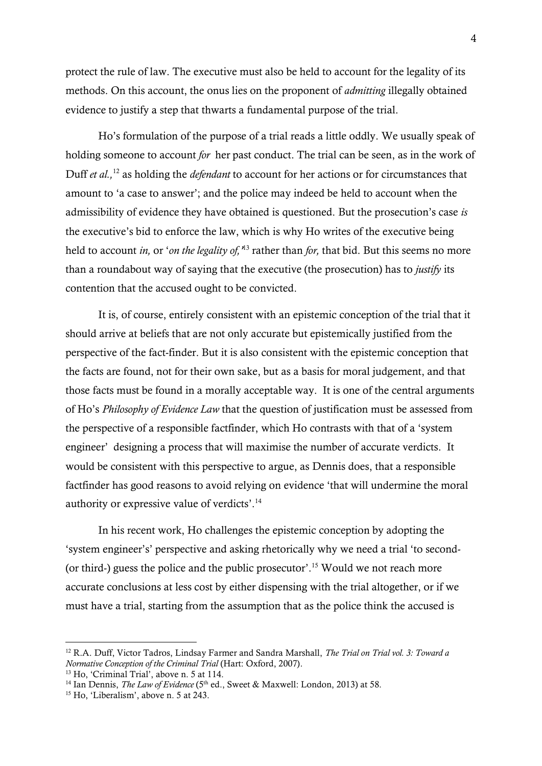protect the rule of law. The executive must also be held to account for the legality of its methods. On this account, the onus lies on the proponent of *admitting* illegally obtained evidence to justify a step that thwarts a fundamental purpose of the trial.

Ho's formulation of the purpose of a trial reads a little oddly. We usually speak of holding someone to account *for* her past conduct. The trial can be seen, as in the work of Duff *et al.,*<sup>12</sup> as holding the *defendant* to account for her actions or for circumstances that amount to 'a case to answer'; and the police may indeed be held to account when the admissibility of evidence they have obtained is questioned. But the prosecution's case *is*  the executive's bid to enforce the law, which is why Ho writes of the executive being held to account *in,* or '*on the legality of,'* <sup>13</sup> rather than *for,* that bid. But this seems no more than a roundabout way of saying that the executive (the prosecution) has to *justify* its contention that the accused ought to be convicted.

It is, of course, entirely consistent with an epistemic conception of the trial that it should arrive at beliefs that are not only accurate but epistemically justified from the perspective of the fact-finder. But it is also consistent with the epistemic conception that the facts are found, not for their own sake, but as a basis for moral judgement, and that those facts must be found in a morally acceptable way. It is one of the central arguments of Ho's *Philosophy of Evidence Law* that the question of justification must be assessed from the perspective of a responsible factfinder, which Ho contrasts with that of a 'system engineer' designing a process that will maximise the number of accurate verdicts. It would be consistent with this perspective to argue, as Dennis does, that a responsible factfinder has good reasons to avoid relying on evidence 'that will undermine the moral authority or expressive value of verdicts'.<sup>14</sup>

In his recent work, Ho challenges the epistemic conception by adopting the 'system engineer's' perspective and asking rhetorically why we need a trial 'to second- (or third-) guess the police and the public prosecutor'. <sup>15</sup> Would we not reach more accurate conclusions at less cost by either dispensing with the trial altogether, or if we must have a trial, starting from the assumption that as the police think the accused is

<sup>12</sup> R.A. Duff, Victor Tadros, Lindsay Farmer and Sandra Marshall, *The Trial on Trial vol. 3: Toward a Normative Conception of the Criminal Trial* (Hart: Oxford, 2007).

<sup>&</sup>lt;sup>13</sup> Ho, 'Criminal Trial', above n. 5 at 114.

<sup>&</sup>lt;sup>14</sup> Ian Dennis, *The Law of Evidence* (5<sup>th</sup> ed., Sweet & Maxwell: London, 2013) at 58.

<sup>&</sup>lt;sup>15</sup> Ho, 'Liberalism', above n. 5 at 243.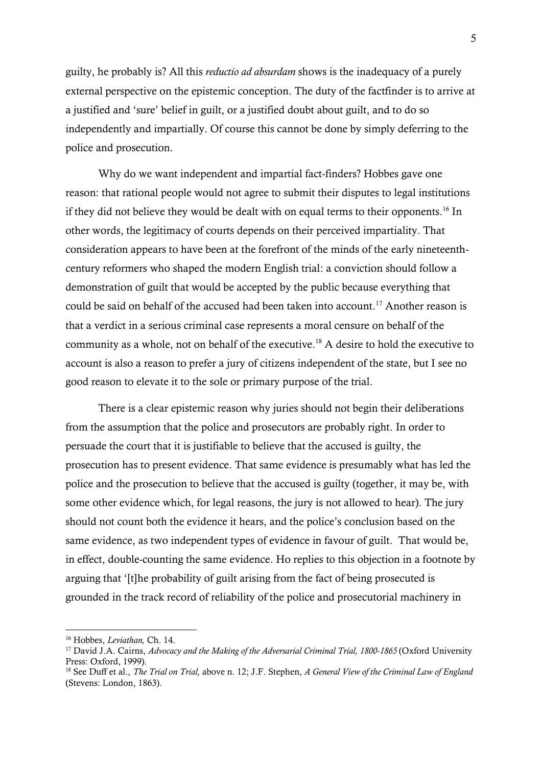guilty, he probably is? All this *reductio ad absurdam* shows is the inadequacy of a purely external perspective on the epistemic conception. The duty of the factfinder is to arrive at a justified and 'sure' belief in guilt, or a justified doubt about guilt, and to do so independently and impartially. Of course this cannot be done by simply deferring to the police and prosecution.

Why do we want independent and impartial fact-finders? Hobbes gave one reason: that rational people would not agree to submit their disputes to legal institutions if they did not believe they would be dealt with on equal terms to their opponents.<sup>16</sup> In other words, the legitimacy of courts depends on their perceived impartiality. That consideration appears to have been at the forefront of the minds of the early nineteenthcentury reformers who shaped the modern English trial: a conviction should follow a demonstration of guilt that would be accepted by the public because everything that could be said on behalf of the accused had been taken into account.<sup>17</sup> Another reason is that a verdict in a serious criminal case represents a moral censure on behalf of the community as a whole, not on behalf of the executive.<sup>18</sup> A desire to hold the executive to account is also a reason to prefer a jury of citizens independent of the state, but I see no good reason to elevate it to the sole or primary purpose of the trial.

There is a clear epistemic reason why juries should not begin their deliberations from the assumption that the police and prosecutors are probably right. In order to persuade the court that it is justifiable to believe that the accused is guilty, the prosecution has to present evidence. That same evidence is presumably what has led the police and the prosecution to believe that the accused is guilty (together, it may be, with some other evidence which, for legal reasons, the jury is not allowed to hear). The jury should not count both the evidence it hears, and the police's conclusion based on the same evidence, as two independent types of evidence in favour of guilt. That would be, in effect, double-counting the same evidence. Ho replies to this objection in a footnote by arguing that '[t]he probability of guilt arising from the fact of being prosecuted is grounded in the track record of reliability of the police and prosecutorial machinery in

<sup>16</sup> Hobbes, *Leviathan,* Ch. 14.

<sup>&</sup>lt;sup>17</sup> David J.A. Cairns, *Advocacy and the Making of the Adversarial Criminal Trial, 1800-1865* (Oxford University Press: Oxford, 1999).

<sup>18</sup> See Duff et al., *The Trial on Trial,* above n. 12; J.F. Stephen, *A General View of the Criminal Law of England* (Stevens: London, 1863).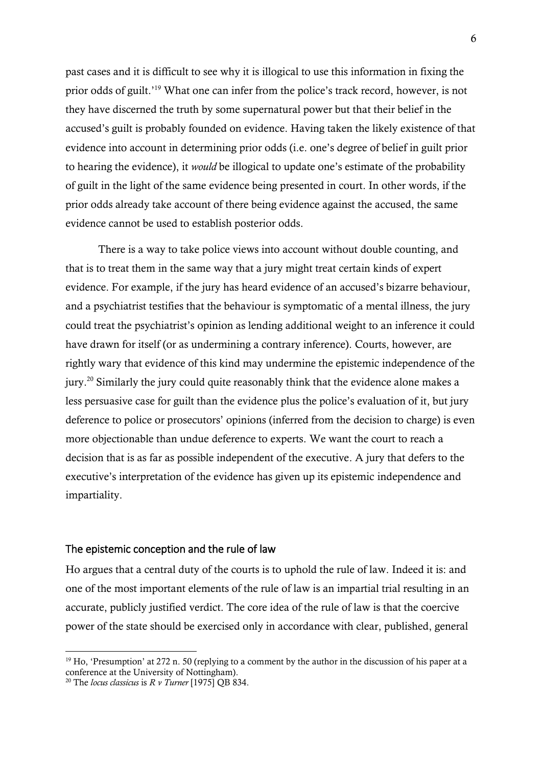past cases and it is difficult to see why it is illogical to use this information in fixing the prior odds of guilt.'<sup>19</sup> What one can infer from the police's track record, however, is not they have discerned the truth by some supernatural power but that their belief in the accused's guilt is probably founded on evidence. Having taken the likely existence of that evidence into account in determining prior odds (i.e. one's degree of belief in guilt prior to hearing the evidence), it *would* be illogical to update one's estimate of the probability of guilt in the light of the same evidence being presented in court. In other words, if the prior odds already take account of there being evidence against the accused, the same evidence cannot be used to establish posterior odds.

There is a way to take police views into account without double counting, and that is to treat them in the same way that a jury might treat certain kinds of expert evidence. For example, if the jury has heard evidence of an accused's bizarre behaviour, and a psychiatrist testifies that the behaviour is symptomatic of a mental illness, the jury could treat the psychiatrist's opinion as lending additional weight to an inference it could have drawn for itself (or as undermining a contrary inference). Courts, however, are rightly wary that evidence of this kind may undermine the epistemic independence of the jury.<sup>20</sup> Similarly the jury could quite reasonably think that the evidence alone makes a less persuasive case for guilt than the evidence plus the police's evaluation of it, but jury deference to police or prosecutors' opinions (inferred from the decision to charge) is even more objectionable than undue deference to experts. We want the court to reach a decision that is as far as possible independent of the executive. A jury that defers to the executive's interpretation of the evidence has given up its epistemic independence and impartiality.

#### The epistemic conception and the rule of law

Ho argues that a central duty of the courts is to uphold the rule of law. Indeed it is: and one of the most important elements of the rule of law is an impartial trial resulting in an accurate, publicly justified verdict. The core idea of the rule of law is that the coercive power of the state should be exercised only in accordance with clear, published, general

<sup>&</sup>lt;sup>19</sup> Ho, 'Presumption' at 272 n. 50 (replying to a comment by the author in the discussion of his paper at a conference at the University of Nottingham).

<sup>20</sup> The *locus classicus* is *R v Turner* [1975] QB 834.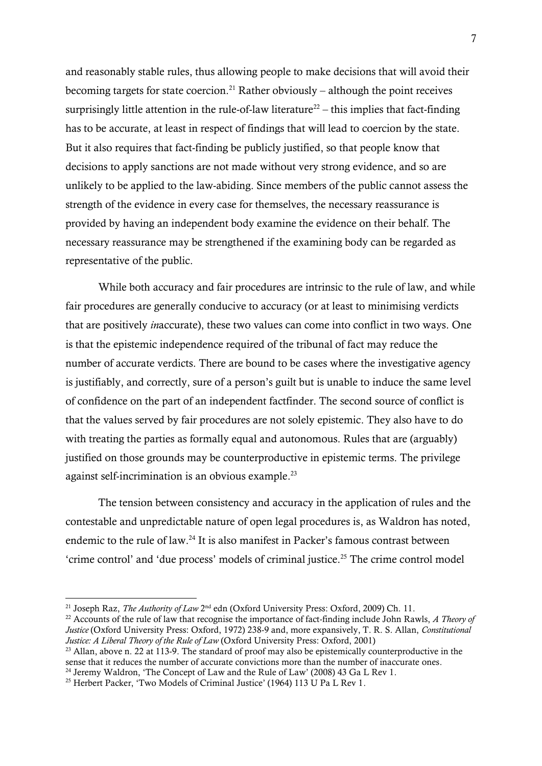and reasonably stable rules, thus allowing people to make decisions that will avoid their becoming targets for state coercion.<sup>21</sup> Rather obviously – although the point receives surprisingly little attention in the rule-of-law literature<sup>22</sup> – this implies that fact-finding has to be accurate, at least in respect of findings that will lead to coercion by the state. But it also requires that fact-finding be publicly justified, so that people know that decisions to apply sanctions are not made without very strong evidence, and so are unlikely to be applied to the law-abiding. Since members of the public cannot assess the strength of the evidence in every case for themselves, the necessary reassurance is provided by having an independent body examine the evidence on their behalf. The necessary reassurance may be strengthened if the examining body can be regarded as representative of the public.

While both accuracy and fair procedures are intrinsic to the rule of law, and while fair procedures are generally conducive to accuracy (or at least to minimising verdicts that are positively *in*accurate), these two values can come into conflict in two ways. One is that the epistemic independence required of the tribunal of fact may reduce the number of accurate verdicts. There are bound to be cases where the investigative agency is justifiably, and correctly, sure of a person's guilt but is unable to induce the same level of confidence on the part of an independent factfinder. The second source of conflict is that the values served by fair procedures are not solely epistemic. They also have to do with treating the parties as formally equal and autonomous. Rules that are (arguably) justified on those grounds may be counterproductive in epistemic terms. The privilege against self-incrimination is an obvious example.<sup>23</sup>

The tension between consistency and accuracy in the application of rules and the contestable and unpredictable nature of open legal procedures is, as Waldron has noted, endemic to the rule of law.<sup>24</sup> It is also manifest in Packer's famous contrast between 'crime control' and 'due process' models of criminal justice.<sup>25</sup> The crime control model

<sup>&</sup>lt;sup>21</sup> Joseph Raz, *The Authority of Law* 2<sup>nd</sup> edn (Oxford University Press: Oxford, 2009) Ch. 11.

<sup>22</sup> Accounts of the rule of law that recognise the importance of fact-finding include John Rawls, *A Theory of Justice* (Oxford University Press: Oxford, 1972) 238-9 and, more expansively, T. R. S. Allan, *Constitutional Justice: A Liberal Theory of the Rule of Law* (Oxford University Press: Oxford, 2001)

<sup>&</sup>lt;sup>23</sup> Allan, above n. 22 at 113-9. The standard of proof may also be epistemically counterproductive in the sense that it reduces the number of accurate convictions more than the number of inaccurate ones. <sup>24</sup> Jeremy Waldron, 'The Concept of Law and the Rule of Law' (2008) 43 Ga L Rev 1.

<sup>&</sup>lt;sup>25</sup> Herbert Packer, 'Two Models of Criminal Justice' (1964) 113 U Pa L Rev 1.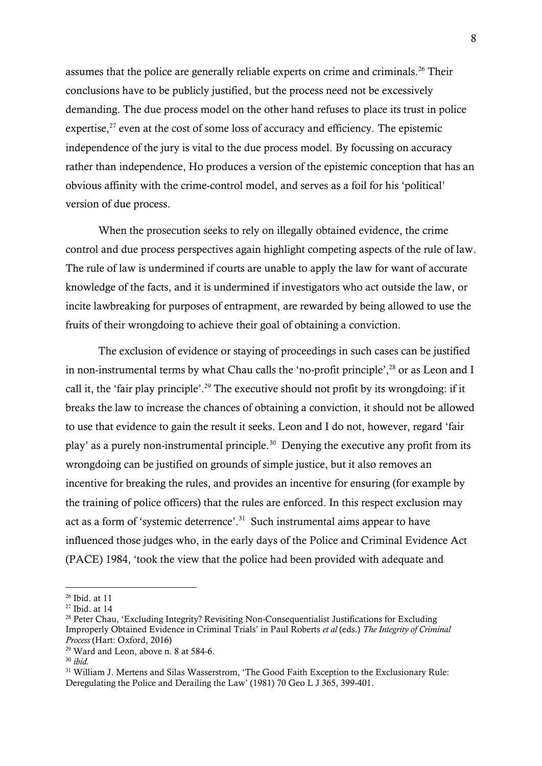assumes that the police are generally reliable experts on crime and criminals.<sup>26</sup> Their conclusions have to be publicly justified, but the process need not be excessively demanding. The due process model on the other hand refuses to place its trust in police expertise, $27$  even at the cost of some loss of accuracy and efficiency. The epistemic independence of the jury is vital to the due process model. By focussing on accuracy rather than independence, Ho produces a version of the epistemic conception that has an obvious affinity with the crime-control model, and serves as a foil for his 'political' version of due process.

When the prosecution seeks to rely on illegally obtained evidence, the crime control and due process perspectives again highlight competing aspects of the rule of law. The rule of law is undermined if courts are unable to apply the law for want of accurate knowledge of the facts, and it is undermined if investigators who act outside the law, or incite lawbreaking for purposes of entrapment, are rewarded by being allowed to use the fruits of their wrongdoing to achieve their goal of obtaining a conviction.

The exclusion of evidence or staying of proceedings in such cases can be justified in non-instrumental terms by what Chau calls the 'no-profit principle',<sup>28</sup> or as Leon and I call it, the 'fair play principle'. <sup>29</sup> The executive should not profit by its wrongdoing: if it breaks the law to increase the chances of obtaining a conviction, it should not be allowed to use that evidence to gain the result it seeks. Leon and I do not, however, regard 'fair play' as a purely non-instrumental principle.<sup>30</sup> Denying the executive any profit from its wrongdoing can be justified on grounds of simple justice, but it also removes an incentive for breaking the rules, and provides an incentive for ensuring (for example by the training of police officers) that the rules are enforced. In this respect exclusion may act as a form of 'systemic deterrence'. 31 Such instrumental aims appear to have influenced those judges who, in the early days of the Police and Criminal Evidence Act (PACE) 1984, 'took the view that the police had been provided with adequate and

<sup>26</sup> Ibid. at 11

<sup>27</sup> Ibid. at 14

<sup>&</sup>lt;sup>28</sup> Peter Chau, 'Excluding Integrity? Revisiting Non-Consequentialist Justifications for Excluding Improperly Obtained Evidence in Criminal Trials' in Paul Roberts *et al* (eds.) *The Integrity of Criminal Process* (Hart: Oxford, 2016)

<sup>29</sup> Ward and Leon, above n. 8 at 584-6.

<sup>30</sup> *ibid.*

<sup>&</sup>lt;sup>31</sup> William J. Mertens and Silas Wasserstrom, 'The Good Faith Exception to the Exclusionary Rule: Deregulating the Police and Derailing the Law' (1981) 70 Geo L J 365, 399-401.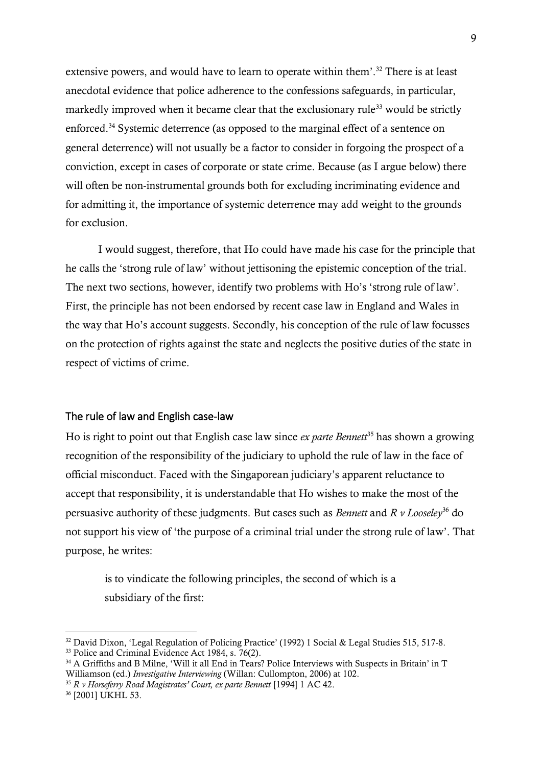extensive powers, and would have to learn to operate within them'.<sup>32</sup> There is at least anecdotal evidence that police adherence to the confessions safeguards, in particular, markedly improved when it became clear that the exclusionary rule<sup>33</sup> would be strictly enforced. <sup>34</sup> Systemic deterrence (as opposed to the marginal effect of a sentence on general deterrence) will not usually be a factor to consider in forgoing the prospect of a conviction, except in cases of corporate or state crime. Because (as I argue below) there will often be non-instrumental grounds both for excluding incriminating evidence and for admitting it, the importance of systemic deterrence may add weight to the grounds for exclusion.

I would suggest, therefore, that Ho could have made his case for the principle that he calls the 'strong rule of law' without jettisoning the epistemic conception of the trial. The next two sections, however, identify two problems with Ho's 'strong rule of law'. First, the principle has not been endorsed by recent case law in England and Wales in the way that Ho's account suggests. Secondly, his conception of the rule of law focusses on the protection of rights against the state and neglects the positive duties of the state in respect of victims of crime.

#### The rule of law and English case-law

Ho is right to point out that English case law since *ex parte Bennett*<sup>35</sup> has shown a growing recognition of the responsibility of the judiciary to uphold the rule of law in the face of official misconduct. Faced with the Singaporean judiciary's apparent reluctance to accept that responsibility, it is understandable that Ho wishes to make the most of the persuasive authority of these judgments. But cases such as *Bennett* and *R v Looseley*<sup>36</sup> do not support his view of 'the purpose of a criminal trial under the strong rule of law'. That purpose, he writes:

is to vindicate the following principles, the second of which is a subsidiary of the first:

<sup>&</sup>lt;sup>32</sup> David Dixon, 'Legal Regulation of Policing Practice' (1992) 1 Social & Legal Studies 515, 517-8.

<sup>&</sup>lt;sup>33</sup> Police and Criminal Evidence Act 1984, s. 76(2).

 $34$  A Griffiths and B Milne, 'Will it all End in Tears? Police Interviews with Suspects in Britain' in T Williamson (ed.) *Investigative Interviewing* (Willan: Cullompton, 2006) at 102.

<sup>35</sup> *R v Horseferry Road Magistrates' Court, ex parte Bennett* [1994] 1 AC 42.

<sup>36</sup> [2001] UKHL 53.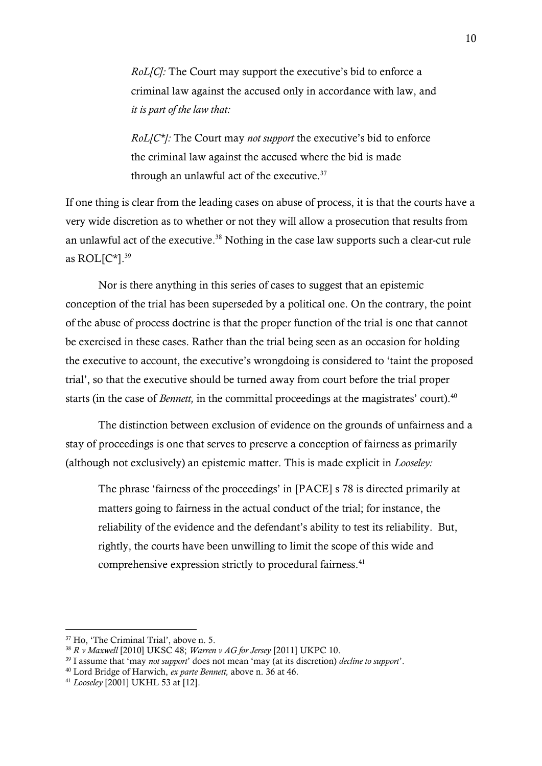*RoL[C]:* The Court may support the executive's bid to enforce a criminal law against the accused only in accordance with law, and *it is part of the law that:*

*RoL[C\*]:* The Court may *not support* the executive's bid to enforce the criminal law against the accused where the bid is made through an unlawful act of the executive.<sup>37</sup>

If one thing is clear from the leading cases on abuse of process, it is that the courts have a very wide discretion as to whether or not they will allow a prosecution that results from an unlawful act of the executive.<sup>38</sup> Nothing in the case law supports such a clear-cut rule as ROL[C\*]. 39

Nor is there anything in this series of cases to suggest that an epistemic conception of the trial has been superseded by a political one. On the contrary, the point of the abuse of process doctrine is that the proper function of the trial is one that cannot be exercised in these cases. Rather than the trial being seen as an occasion for holding the executive to account, the executive's wrongdoing is considered to 'taint the proposed trial', so that the executive should be turned away from court before the trial proper starts (in the case of *Bennett*, in the committal proceedings at the magistrates' court).<sup>40</sup>

The distinction between exclusion of evidence on the grounds of unfairness and a stay of proceedings is one that serves to preserve a conception of fairness as primarily (although not exclusively) an epistemic matter. This is made explicit in *Looseley:*

The phrase 'fairness of the proceedings' in [PACE] s 78 is directed primarily at matters going to fairness in the actual conduct of the trial; for instance, the reliability of the evidence and the defendant's ability to test its reliability. But, rightly, the courts have been unwilling to limit the scope of this wide and comprehensive expression strictly to procedural fairness.<sup>41</sup>

<sup>37</sup> Ho, 'The Criminal Trial', above n. 5.

<sup>38</sup> *R v Maxwell* [2010] UKSC 48; *Warren v AG for Jersey* [2011] UKPC 10.

<sup>39</sup> I assume that 'may *not support*' does not mean 'may (at its discretion) *decline to support*'.

<sup>40</sup> Lord Bridge of Harwich, *ex parte Bennett,* above n. 36 at 46.

<sup>41</sup> *Looseley* [2001] UKHL 53 at [12].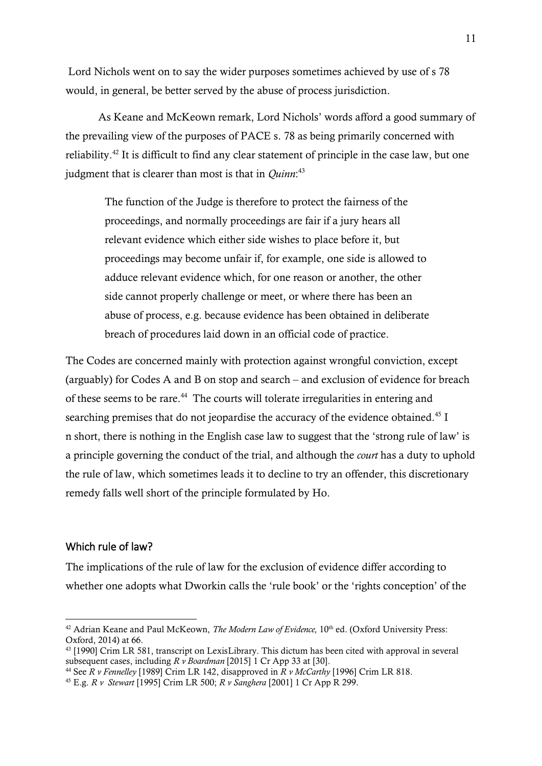Lord Nichols went on to say the wider purposes sometimes achieved by use of s 78 would, in general, be better served by the abuse of process jurisdiction.

As Keane and McKeown remark, Lord Nichols' words afford a good summary of the prevailing view of the purposes of PACE s. 78 as being primarily concerned with reliability.<sup>42</sup> It is difficult to find any clear statement of principle in the case law, but one judgment that is clearer than most is that in *Quinn*: 43

The function of the Judge is therefore to protect the fairness of the proceedings, and normally proceedings are fair if a jury hears all relevant evidence which either side wishes to place before it, but proceedings may become unfair if, for example, one side is allowed to adduce relevant evidence which, for one reason or another, the other side cannot properly challenge or meet, or where there has been an abuse of process, e.g. because evidence has been obtained in deliberate breach of procedures laid down in an official code of practice.

The Codes are concerned mainly with protection against wrongful conviction, except (arguably) for Codes A and B on stop and search – and exclusion of evidence for breach of these seems to be rare.<sup>44</sup> The courts will tolerate irregularities in entering and searching premises that do not jeopardise the accuracy of the evidence obtained.<sup>45</sup> I n short, there is nothing in the English case law to suggest that the 'strong rule of law' is a principle governing the conduct of the trial, and although the *court* has a duty to uphold the rule of law, which sometimes leads it to decline to try an offender, this discretionary remedy falls well short of the principle formulated by Ho.

### Which rule of law?

1

The implications of the rule of law for the exclusion of evidence differ according to whether one adopts what Dworkin calls the 'rule book' or the 'rights conception' of the

<sup>&</sup>lt;sup>42</sup> Adrian Keane and Paul McKeown, *The Modern Law of Evidence*, 10<sup>th</sup> ed. (Oxford University Press: Oxford, 2014) at 66.

<sup>43</sup> [1990] Crim LR 581, transcript on LexisLibrary. This dictum has been cited with approval in several subsequent cases, including *R v Boardman* [2015] 1 Cr App 33 at [30].

<sup>44</sup> See *R v Fennelley* [1989] Crim LR 142, disapproved in *R v McCarthy* [1996] Crim LR 818.

<sup>45</sup> E.g. *R v Stewart* [1995] Crim LR 500; *R v Sanghera* [2001] 1 Cr App R 299.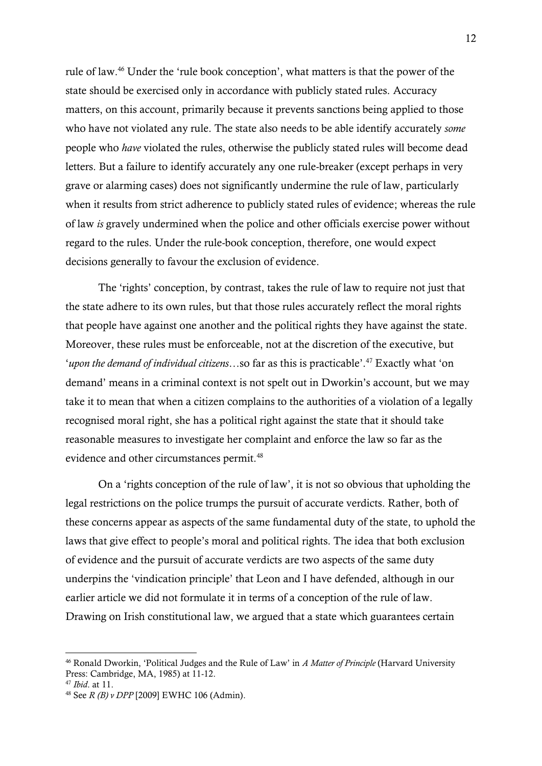rule of law.<sup>46</sup> Under the 'rule book conception', what matters is that the power of the state should be exercised only in accordance with publicly stated rules. Accuracy matters, on this account, primarily because it prevents sanctions being applied to those who have not violated any rule. The state also needs to be able identify accurately *some* people who *have* violated the rules, otherwise the publicly stated rules will become dead letters. But a failure to identify accurately any one rule-breaker (except perhaps in very grave or alarming cases) does not significantly undermine the rule of law, particularly when it results from strict adherence to publicly stated rules of evidence; whereas the rule of law *is* gravely undermined when the police and other officials exercise power without regard to the rules. Under the rule-book conception, therefore, one would expect decisions generally to favour the exclusion of evidence.

The 'rights' conception, by contrast, takes the rule of law to require not just that the state adhere to its own rules, but that those rules accurately reflect the moral rights that people have against one another and the political rights they have against the state. Moreover, these rules must be enforceable, not at the discretion of the executive, but '*upon the demand of individual citizens…*so far as this is practicable'. <sup>47</sup> Exactly what 'on demand' means in a criminal context is not spelt out in Dworkin's account, but we may take it to mean that when a citizen complains to the authorities of a violation of a legally recognised moral right, she has a political right against the state that it should take reasonable measures to investigate her complaint and enforce the law so far as the evidence and other circumstances permit.<sup>48</sup>

On a 'rights conception of the rule of law', it is not so obvious that upholding the legal restrictions on the police trumps the pursuit of accurate verdicts. Rather, both of these concerns appear as aspects of the same fundamental duty of the state, to uphold the laws that give effect to people's moral and political rights. The idea that both exclusion of evidence and the pursuit of accurate verdicts are two aspects of the same duty underpins the 'vindication principle' that Leon and I have defended, although in our earlier article we did not formulate it in terms of a conception of the rule of law. Drawing on Irish constitutional law, we argued that a state which guarantees certain

 $\overline{a}$ 

<sup>46</sup> Ronald Dworkin, 'Political Judges and the Rule of Law' in *A Matter of Principle* (Harvard University Press: Cambridge, MA, 1985) at 11-12.

<sup>47</sup> *Ibid*. at 11.

<sup>48</sup> See *R (B) v DPP* [2009] EWHC 106 (Admin).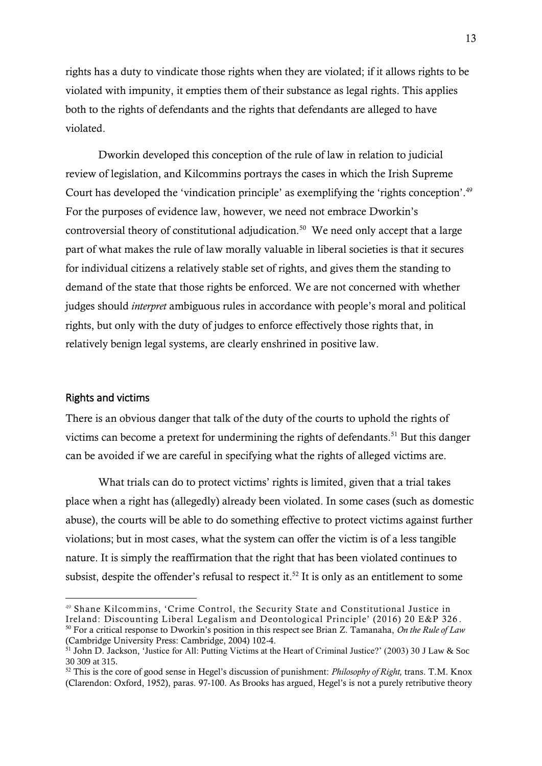rights has a duty to vindicate those rights when they are violated; if it allows rights to be violated with impunity, it empties them of their substance as legal rights. This applies both to the rights of defendants and the rights that defendants are alleged to have violated.

Dworkin developed this conception of the rule of law in relation to judicial review of legislation, and Kilcommins portrays the cases in which the Irish Supreme Court has developed the 'vindication principle' as exemplifying the 'rights conception'.<sup>49</sup> For the purposes of evidence law, however, we need not embrace Dworkin's controversial theory of constitutional adjudication.<sup>50</sup> We need only accept that a large part of what makes the rule of law morally valuable in liberal societies is that it secures for individual citizens a relatively stable set of rights, and gives them the standing to demand of the state that those rights be enforced. We are not concerned with whether judges should *interpret* ambiguous rules in accordance with people's moral and political rights, but only with the duty of judges to enforce effectively those rights that, in relatively benign legal systems, are clearly enshrined in positive law.

#### Rights and victims

1

There is an obvious danger that talk of the duty of the courts to uphold the rights of victims can become a pretext for undermining the rights of defendants.<sup>51</sup> But this danger can be avoided if we are careful in specifying what the rights of alleged victims are.

What trials can do to protect victims' rights is limited, given that a trial takes place when a right has (allegedly) already been violated. In some cases (such as domestic abuse), the courts will be able to do something effective to protect victims against further violations; but in most cases, what the system can offer the victim is of a less tangible nature. It is simply the reaffirmation that the right that has been violated continues to subsist, despite the offender's refusal to respect it.<sup>52</sup> It is only as an entitlement to some

<sup>50</sup> For a critical response to Dworkin's position in this respect see Brian Z. Tamanaha, *On the Rule of Law*  (Cambridge University Press: Cambridge, 2004) 102-4.

<sup>49</sup> Shane Kilcommins, 'Crime Control, the Security State and Constitutional Justice in Ireland: Discounting Liberal Legalism and Deontological Principle' (2016) 20 E&P 326 .

<sup>&</sup>lt;sup>51</sup> John D. Jackson, 'Justice for All: Putting Victims at the Heart of Criminal Justice?' (2003) 30 J Law & Soc 30 309 at 315.

<sup>52</sup> This is the core of good sense in Hegel's discussion of punishment: *Philosophy of Right,* trans. T.M. Knox (Clarendon: Oxford, 1952), paras. 97-100. As Brooks has argued, Hegel's is not a purely retributive theory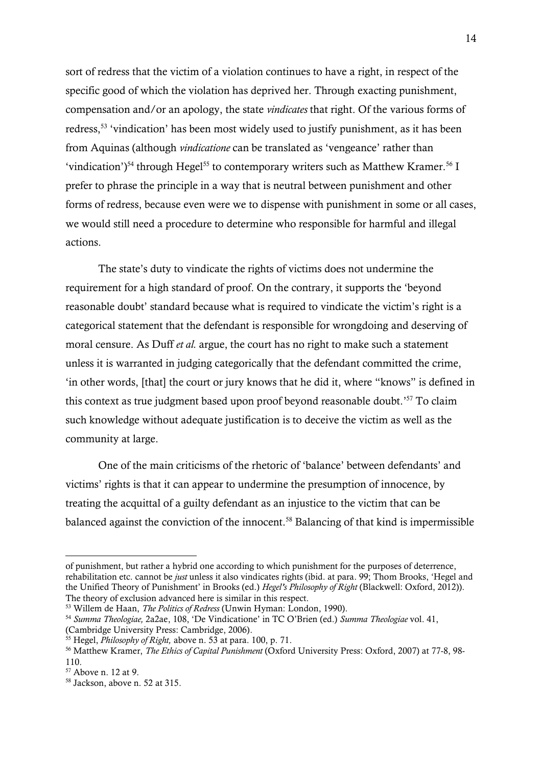sort of redress that the victim of a violation continues to have a right, in respect of the specific good of which the violation has deprived her. Through exacting punishment, compensation and/or an apology, the state *vindicates* that right. Of the various forms of redress,<sup>53</sup> 'vindication' has been most widely used to justify punishment, as it has been from Aquinas (although *vindicatione* can be translated as 'vengeance' rather than 'vindication')<sup>54</sup> through Hegel<sup>55</sup> to contemporary writers such as Matthew Kramer.<sup>56</sup> I prefer to phrase the principle in a way that is neutral between punishment and other forms of redress, because even were we to dispense with punishment in some or all cases, we would still need a procedure to determine who responsible for harmful and illegal actions.

The state's duty to vindicate the rights of victims does not undermine the requirement for a high standard of proof. On the contrary, it supports the 'beyond reasonable doubt' standard because what is required to vindicate the victim's right is a categorical statement that the defendant is responsible for wrongdoing and deserving of moral censure. As Duff *et al.* argue, the court has no right to make such a statement unless it is warranted in judging categorically that the defendant committed the crime, 'in other words, [that] the court or jury knows that he did it, where "knows" is defined in this context as true judgment based upon proof beyond reasonable doubt.' <sup>57</sup> To claim such knowledge without adequate justification is to deceive the victim as well as the community at large.

One of the main criticisms of the rhetoric of 'balance' between defendants' and victims' rights is that it can appear to undermine the presumption of innocence, by treating the acquittal of a guilty defendant as an injustice to the victim that can be balanced against the conviction of the innocent.<sup>58</sup> Balancing of that kind is impermissible

of punishment, but rather a hybrid one according to which punishment for the purposes of deterrence, rehabilitation etc. cannot be *just* unless it also vindicates rights (ibid. at para. 99; Thom Brooks, 'Hegel and the Unified Theory of Punishment' in Brooks (ed.) *Hegel's Philosophy of Right* (Blackwell: Oxford, 2012)). The theory of exclusion advanced here is similar in this respect.

<sup>53</sup> Willem de Haan, *The Politics of Redress* (Unwin Hyman: London, 1990).

<sup>54</sup> *Summa Theologiae,* 2a2ae, 108, 'De Vindicatione' in TC O'Brien (ed.) *Summa Theologiae* vol. 41, (Cambridge University Press: Cambridge, 2006).

<sup>55</sup> Hegel, *Philosophy of Right,* above n. 53 at para. 100, p. 71.

<sup>56</sup> Matthew Kramer, *The Ethics of Capital Punishment* (Oxford University Press: Oxford, 2007) at 77-8, 98- 110.

<sup>57</sup> Above n. 12 at 9.

<sup>58</sup> Jackson, above n. 52 at 315.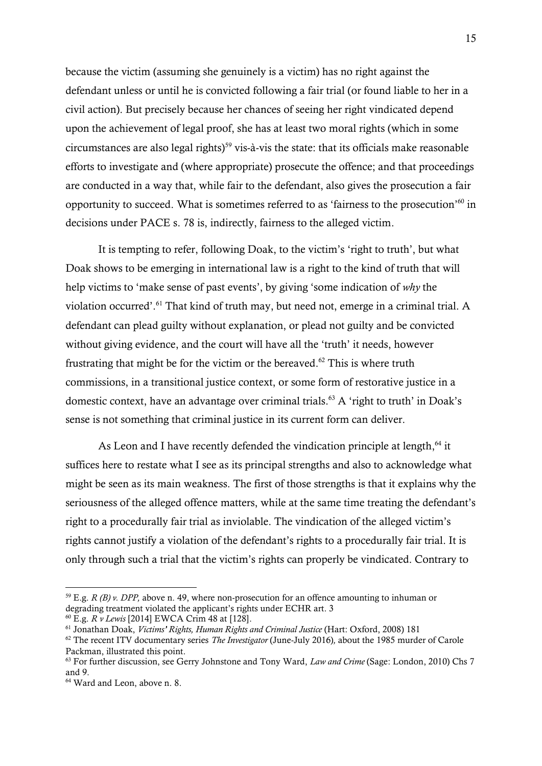because the victim (assuming she genuinely is a victim) has no right against the defendant unless or until he is convicted following a fair trial (or found liable to her in a civil action). But precisely because her chances of seeing her right vindicated depend upon the achievement of legal proof, she has at least two moral rights (which in some circumstances are also legal rights)<sup>59</sup> vis-à-vis the state: that its officials make reasonable efforts to investigate and (where appropriate) prosecute the offence; and that proceedings are conducted in a way that, while fair to the defendant, also gives the prosecution a fair opportunity to succeed. What is sometimes referred to as 'fairness to the prosecution' <sup>60</sup> in decisions under PACE s. 78 is, indirectly, fairness to the alleged victim.

It is tempting to refer, following Doak, to the victim's 'right to truth', but what Doak shows to be emerging in international law is a right to the kind of truth that will help victims to 'make sense of past events', by giving 'some indication of *why* the violation occurred'. <sup>61</sup> That kind of truth may, but need not, emerge in a criminal trial. A defendant can plead guilty without explanation, or plead not guilty and be convicted without giving evidence, and the court will have all the 'truth' it needs, however frustrating that might be for the victim or the bereaved.<sup>62</sup> This is where truth commissions, in a transitional justice context, or some form of restorative justice in a domestic context, have an advantage over criminal trials. <sup>63</sup> A 'right to truth' in Doak's sense is not something that criminal justice in its current form can deliver.

As Leon and I have recently defended the vindication principle at length, <sup>64</sup> it suffices here to restate what I see as its principal strengths and also to acknowledge what might be seen as its main weakness. The first of those strengths is that it explains why the seriousness of the alleged offence matters, while at the same time treating the defendant's right to a procedurally fair trial as inviolable. The vindication of the alleged victim's rights cannot justify a violation of the defendant's rights to a procedurally fair trial. It is only through such a trial that the victim's rights can properly be vindicated. Contrary to

<sup>&</sup>lt;sup>59</sup> E.g. *R (B) v. DPP*, above n. 49, where non-prosecution for an offence amounting to inhuman or degrading treatment violated the applicant's rights under ECHR art. 3

<sup>60</sup> E.g. *R v Lewis* [2014] EWCA Crim 48 at [128].

<sup>61</sup> Jonathan Doak, *Victims' Rights, Human Rights and Criminal Justice* (Hart: Oxford, 2008) 181

<sup>62</sup> The recent ITV documentary series *The Investigator* (June-July 2016)*,* about the 1985 murder of Carole Packman, illustrated this point.

<sup>63</sup> For further discussion, see Gerry Johnstone and Tony Ward, *Law and Crime* (Sage: London, 2010) Chs 7 and 9.

<sup>64</sup> Ward and Leon, above n. 8.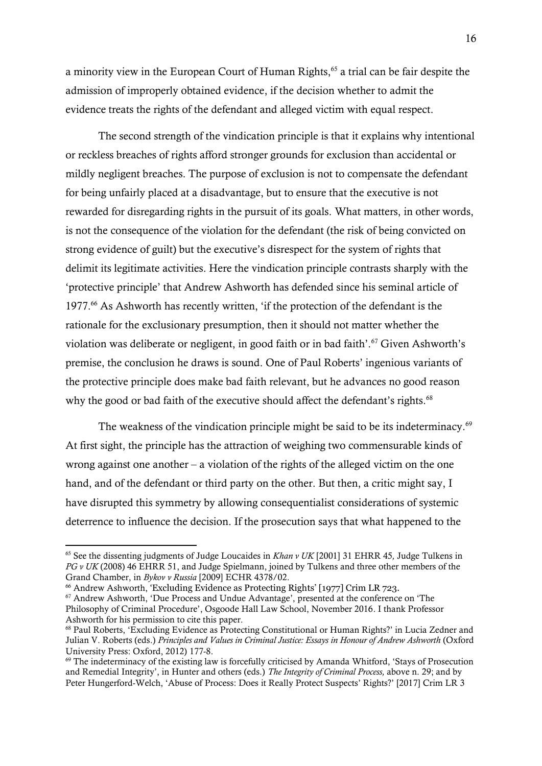a minority view in the European Court of Human Rights, <sup>65</sup> a trial can be fair despite the admission of improperly obtained evidence, if the decision whether to admit the evidence treats the rights of the defendant and alleged victim with equal respect.

The second strength of the vindication principle is that it explains why intentional or reckless breaches of rights afford stronger grounds for exclusion than accidental or mildly negligent breaches. The purpose of exclusion is not to compensate the defendant for being unfairly placed at a disadvantage, but to ensure that the executive is not rewarded for disregarding rights in the pursuit of its goals. What matters, in other words, is not the consequence of the violation for the defendant (the risk of being convicted on strong evidence of guilt) but the executive's disrespect for the system of rights that delimit its legitimate activities. Here the vindication principle contrasts sharply with the 'protective principle' that Andrew Ashworth has defended since his seminal article of 1977.<sup>66</sup> As Ashworth has recently written, 'if the protection of the defendant is the rationale for the exclusionary presumption, then it should not matter whether the violation was deliberate or negligent, in good faith or in bad faith'.<sup>67</sup> Given Ashworth's premise, the conclusion he draws is sound. One of Paul Roberts' ingenious variants of the protective principle does make bad faith relevant, but he advances no good reason why the good or bad faith of the executive should affect the defendant's rights.<sup>68</sup>

The weakness of the vindication principle might be said to be its indeterminacy.<sup>69</sup> At first sight, the principle has the attraction of weighing two commensurable kinds of wrong against one another – a violation of the rights of the alleged victim on the one hand, and of the defendant or third party on the other. But then, a critic might say, I have disrupted this symmetry by allowing consequentialist considerations of systemic deterrence to influence the decision. If the prosecution says that what happened to the

<sup>65</sup> See the dissenting judgments of Judge Loucaides in *Khan v UK* [2001] 31 EHRR 45*,* Judge Tulkens in *PG v UK* (2008) 46 EHRR 51, and Judge Spielmann, joined by Tulkens and three other members of the Grand Chamber, in *Bykov v Russia* [2009] ECHR 4378/02.

<sup>&</sup>lt;sup>66</sup> Andrew Ashworth, 'Excluding Evidence as Protecting Rights' [1977] Crim LR 723.

<sup>67</sup> Andrew Ashworth, 'Due Process and Undue Advantage', presented at the conference on 'The Philosophy of Criminal Procedure', Osgoode Hall Law School, November 2016. I thank Professor Ashworth for his permission to cite this paper.

<sup>&</sup>lt;sup>68</sup> Paul Roberts, 'Excluding Evidence as Protecting Constitutional or Human Rights?' in Lucia Zedner and Julian V. Roberts (eds.) *Principles and Values in Criminal Justice: Essays in Honour of Andrew Ashworth* (Oxford University Press: Oxford, 2012) 177-8.

<sup>69</sup> The indeterminacy of the existing law is forcefully criticised by Amanda Whitford, 'Stays of Prosecution and Remedial Integrity', in Hunter and others (eds.) *The Integrity of Criminal Process,* above n. 29; and by Peter Hungerford-Welch, 'Abuse of Process: Does it Really Protect Suspects' Rights?' [2017] Crim LR 3